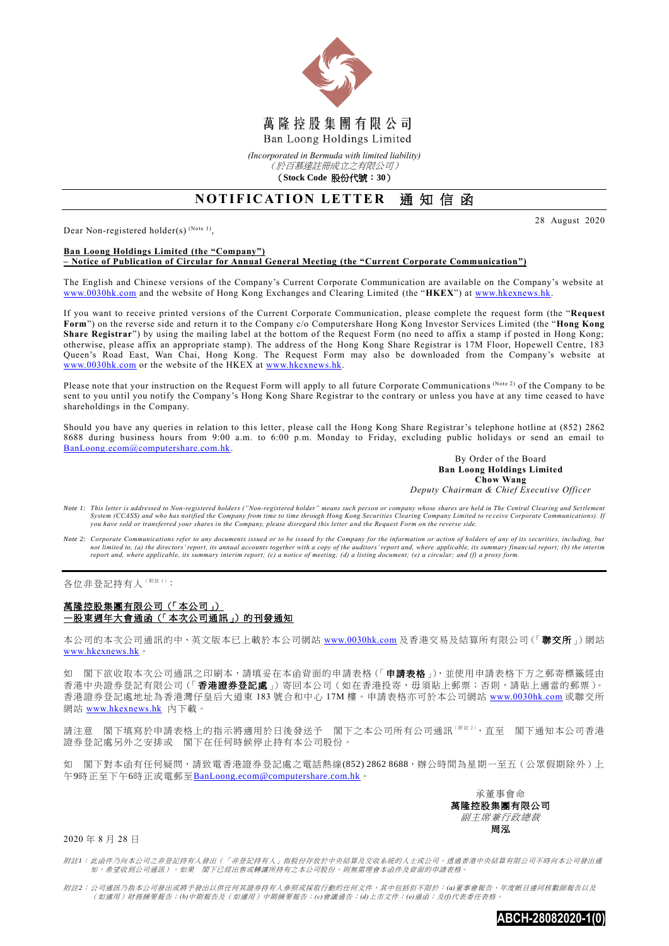

*(Incorporated in Bermuda with limited liability)*

(於百慕達註冊成立之有限公司) (**Stock Code** 股份代號:**30**)

## **NOTIFICATION LETTER 通知信函**

Dear Non-registered holder(s)  $^{(Note 1)}$ ,

28 August 2020

## **Ban Loong Holdings Limited (the "Company") – Notice of Publication of Circular for Annual General Meeting (the "Current Corporate Communication")**

The English and Chinese versions of the Company's Current Corporate Communication are available on the Company's website at [www.0030hk.com](http://www.0030hk.com/) and the website of Hong Kong Exchanges and Clearing Limited (the "**HKEX**") at [www.hkexnews.hk.](http://www.hkexnews.hk/)

If you want to receive printed versions of the Current Corporate Communication, please complete the request form (the "**Request Form**") on the reverse side and return it to the Company c/o Computershare Hong Kong Investor Services Limited (the "**Hong Kong Share Registrar**") by using the mailing label at the bottom of the Request Form (no need to affix a stamp if posted in Hong Kong; otherwise, please affix an appropriate stamp). The address of the Hong Kong Share Registrar is 17M Floor, Hopewell Centre, 183 Queen's Road East, Wan Chai, Hong Kong. The Request Form may also be downloaded from the Company's website at [www.0030hk.com](http://www.0030hk.com/) or the website of the HKEX at [www.hkexnews.hk.](http://www.hkexnews.hk/)

Please note that your instruction on the Request Form will apply to all future Corporate Communications (Note 2) of the Company to be sent to you until you notify the Company's Hong Kong Share Registrar to the contrary or unless you have at any time ceased to have shareholdings in the Company.

Should you have any queries in relation to this letter, please call the Hong Kong Share Registrar's telephone hotline at (852) 2862 8688 during business hours from 9:00 a.m. to 6:00 p.m. Monday to Friday, excluding public holidays or send an email to [BanLoong.ecom@computershare.com.hk.](mailto:BanLoong.ecom@computershare.com.hk)

> By Order of the Board **Ban Loong Holdings Limited Chow Wang** *Deputy Chairman & Chief Executive Officer*

- *Note 1: This letter is addressed to Non-registered holders ("Non-registered holder" means such person or company whose shares are held in The Central Clearing and Set tlement*  System (CCASS) and who has notified the Company from time to time through Hong Kong Securities Clearing Company Limited to receive Corporate Communications). If<br>you have sold or transferred your shares in the Company, plea
- *Note 2: Corporate Communications refer to any documents issued or to be issued by the Company for the information or action of holders of any of its securities, including, but*  not limited to, (a) the directors' report, its annual accounts together with a copy of the auditors' report and, where applicable, its summary financial report; (b) the interim<br>report and, where applicable, its summary int

各位非登記持有人(附註1):

## 萬隆控股集團有限公司(「本公司」) —股東週年大會通函(「本次公司通訊」)的刊發通知

本公司的本次公司通訊的中、英文版本已上載於本公司網站 [www.0030hk.com](http://www.0030hk.com/) 及香港交易及結算所有限公司(「聯交所」)網站 [www.hkexnews.hk](http://www.hkexnews.hk/)。

如 閣下欲收取本次公司通訊之印刷本,請填妥在本函背面的申請表格(「申請表格」),並使用申請表格下方之郵寄標籤經由 香港中央證券登記有限公司(「香港證券登記處」)寄回本公司(如在香港投寄,毋須貼上郵票;否則,請貼上適當的郵票)。 香港證券登記處地址為香港灣仔皇后大道東 183 號合和中心 17M 樓。申請表格亦可於本公司網站 [www.0030hk.com](http://www.0030hk.com/) 或聯交所 網站 [www.hkexnews.hk](http://www.hkexnews.hk/) 內下載。

請注意 閣下填寫於申請表格上的指示將適用於日後發送予 閣下之本公司所有公司通訊( $\text{min}^{k}$ ),直至 閣下通知本公司香港 證券登記處另外之安排或 閣下在任何時候停止持有本公司股份。

如 閣下對本函有任何疑問,請致電香港證券登記處之電話熱線(852) 2862 8688,辦公時間為星期一至五(公眾假期除外)上 午9時正至下午6時正或電郵至[BanLoong.ecom@computershare.com.hk](mailto:BanLoong.ecom@computershare.com.hk)。

> 承董事會命 萬隆控股集團有限公司 副主席兼行政總裁 周泓

2020 年 8 月 28 日

附註*1*: 此函件乃向本公司之非登記持有人發出(「非登記持有人」指股份存放於中央結算及交收系統的人士或公司,透過香港中央結算有限公司不時向本公司發出通 知,希望收到公司通訊)。如果 閣下已經出售或轉讓所持有之本公司股份,則無需理會本函件及背面的申請表格。

附註*2*: 公司通訊乃指本公司發出或將予發出以供任何其證券持有人參照或採取行動的任何文件,其中包括但不限於:*(a)*董事會報告、年度帳目連同核數師報告以及 (如適用)財務摘要報告;*(b)*中期報告及(如適用)中期摘要報告;*(c)*會議通告;*(d)*上市文件;*(e)*通函;及*(f)*代表委任表格。